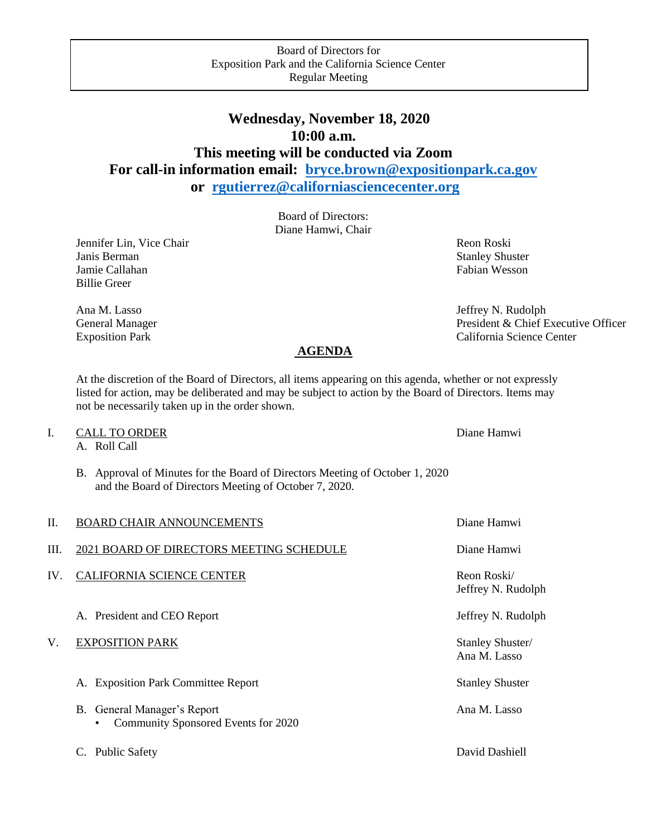# **Wednesday, November 18, 2020 10:00 a.m. This meeting will be conducted via Zoom For call-in information email: [bryce.brown@expositionpark.ca.gov](mailto:bryce.brown@expositionpark.ca.gov) or [rgutierrez@californiasciencecenter.org](mailto:rgutierrez@californiasciencecenter.org)**

Board of Directors: Diane Hamwi, Chair

Jennifer Lin, Vice Chair Revenue and The Chair Reon Roski Janis Berman Stanley Shuster<br>
Jamie Callahan Stanley Shuster<br>
Fabian Wesson Jamie Callahan Billie Greer

Ana M. Lasso Jeffrey N. Rudolph General Manager President & Chief Executive Officer Exposition Park California Science Center

# **AGENDA**

At the discretion of the Board of Directors, all items appearing on this agenda, whether or not expressly listed for action, may be deliberated and may be subject to action by the Board of Directors. Items may not be necessarily taken up in the order shown.

### I. CALL TO ORDER Diane Hamwi

A. Roll Call

B. Approval of Minutes for the Board of Directors Meeting of October 1, 2020 and the Board of Directors Meeting of October 7, 2020.

| П.  | <b>BOARD CHAIR ANNOUNCEMENTS</b>                                   | Diane Hamwi                       |
|-----|--------------------------------------------------------------------|-----------------------------------|
| Ш.  | 2021 BOARD OF DIRECTORS MEETING SCHEDULE                           | Diane Hamwi                       |
| IV. | <b>CALIFORNIA SCIENCE CENTER</b>                                   | Reon Roski/<br>Jeffrey N. Rudolph |
|     | A. President and CEO Report                                        | Jeffrey N. Rudolph                |
| V.  | <b>EXPOSITION PARK</b>                                             | Stanley Shuster/<br>Ana M. Lasso  |
|     | A. Exposition Park Committee Report                                | <b>Stanley Shuster</b>            |
|     | B. General Manager's Report<br>Community Sponsored Events for 2020 | Ana M. Lasso                      |
|     | <b>Public Safety</b><br>C.                                         | David Dashiell                    |